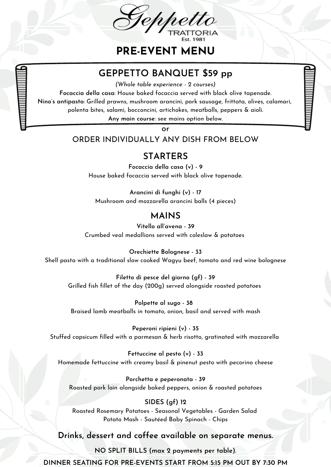

**PRE-EVENT MENU**

# **GEPPETTO BANQUET \$59 pp**

*(Whole table experience - 2 courses)*

**Focaccia della casa**: House baked focaccia served with black olive tapenade.

**Nino's antipasto:** Grilled prawns, mushroom arancini, pork sausage, frittata, olives, calamari,

(gf) polenta bites, salami, bocconcini, artichokes, meatballs, peppers & aioli.

**Any main course**: see mains option below.

or

#### ORDER INDIVIDUALLY ANY DISH FROM BELOW

### **STARTERS**

**Focaccia della casa (v) - 9** House baked focaccia served with black olive tapenade.

**Arancini di funghi (v) - 17** Mushroom and mozzarella arancini balls (4 pieces)

## **MAINS**

**Vitello all'avena -39** Crumbed veal medallions served with coleslaw & potatoes

**Orechiette Bolognese - 33** Shell pasta with a traditional slow cooked Wagyu beef, tomato and red wine bolognese

**Filetto di pesce del giorno (gf) - 39** Grilled fish fillet of the day (200g) served alongside roasted potatoes

**Polpette al sugo - 38** Braised lamb meatballs in tomato, onion, basil and served with mash

**Peperoni ripieni (v) - 35** Stuffed capsicum filled with a parmesan & herb risotto, gratinated with mozzarella

**Fettuccine al pesto (v) - 33** Homemade fettuccine with creamy basil & pinenut pesto with pecorino cheese

**Porchetta e peperonata -39** Roasted pork loin alongside baked peppers, onion & roasted potatoes

#### **SIDES (gf) 12**

Roasted Rosemary Potatoes - Seasonal Vegetables - Garden Salad Potato Mash - Sautéed Baby Spinach - Chips

#### **Drinks, dessert and coffee available on separate menus.**

**NO SPLIT BILLS (max 2 payments per table).**

**DINNER SEATING FOR PRE-EVENTS START FROM 5:15 PM OUT BY 7:30 PM**